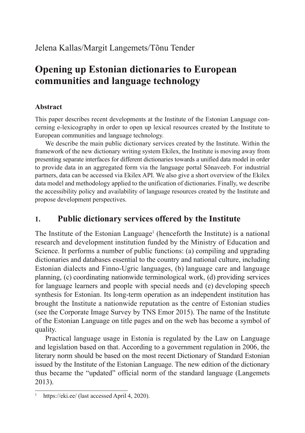#### Jelena Kallas/Margit Langemets/Tõnu Tender

# **Opening up Estonian dictionaries to European communities and language technology**

#### **Abstract**

This paper describes recent developments at the Institute of the Estonian Language concerning e-lexicography in order to open up lexical resources created by the Institute to European communities and language technology.

We describe the main public dictionary services created by the Institute. Within the framework of the new dictionary writing system Ekilex, the Institute is moving away from presenting separate interfaces for different dictionaries towards a unified data model in order to provide data in an aggregated form via the language portal Sõnaveeb. For industrial partners, data can be accessed via Ekilex API. We also give a short overview of the Ekilex data model and methodology applied to the unification of dictionaries. Finally, we describe the accessibility policy and availability of language resources created by the Institute and propose development perspectives.

### **1. Public dictionary services offered by the Institute**

The Institute of the Estonian Language<sup>1</sup> (henceforth the Institute) is a national research and development institution funded by the Ministry of Education and Science. It performs a number of public functions: (a) compiling and upgrading dictionaries and databases essential to the country and national culture, including Estonian dialects and Finno-Ugric languages, (b) language care and language planning, (c) coordinating nationwide terminological work, (d) providing services for language learners and people with special needs and (e) developing speech synthesis for Estonian. Its long-term operation as an independent institution has brought the Institute a nationwide reputation as the centre of Estonian studies (see the Corporate Image Survey by TNS Emor 2015). The name of the Institute of the Estonian Language on title pages and on the web has become a symbol of quality.

Practical language usage in Estonia is regulated by the Law on Language and legislation based on that. According to a government regulation in 2006, the literary norm should be based on the most recent Dictionary of Standard Estonian issued by the Institute of the Estonian Language. The new edition of the dictionary thus became the "updated" official norm of the standard language (Langemets 2013).

https://eki.ee/ (last accessed April 4, 2020).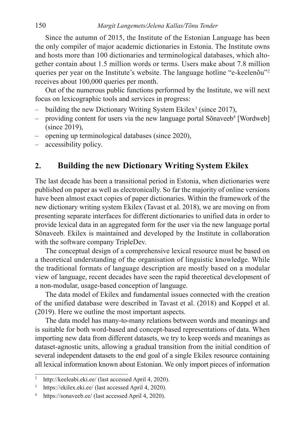Since the autumn of 2015, the Institute of the Estonian Language has been the only compiler of major academic dictionaries in Estonia. The Institute owns and hosts more than 100 dictionaries and terminological databases, which altogether contain about 1.5 million words or terms. Users make about 7.8 million queries per year on the Institute's website. The language hotline "e-keelenõu"2 receives about 100,000 queries per month.

Out of the numerous public functions performed by the Institute, we will next focus on lexicographic tools and services in progress:

- building the new Dictionary Writing System Ekilex<sup>3</sup> (since 2017),
- providing content for users via the new language portal Sõnaveeb<sup>4</sup> [Wordweb] (since 2019),
- opening up terminological databases (since 2020),
- accessibility policy.

#### **2. Building the new Dictionary Writing System Ekilex**

The last decade has been a transitional period in Estonia, when dictionaries were published on paper as well as electronically. So far the majority of online versions have been almost exact copies of paper dictionaries. Within the framework of the new dictionary writing system Ekilex (Tavast et al. 2018), we are moving on from presenting separate interfaces for different dictionaries to unified data in order to provide lexical data in an aggregated form for the user via the new language portal Sõnaveeb. Ekilex is maintained and developed by the Institute in collaboration with the software company TripleDev.

The conceptual design of a comprehensive lexical resource must be based on a theoretical understanding of the organisation of linguistic knowledge. While the traditional formats of language description are mostly based on a modular view of language, recent decades have seen the rapid theoretical development of a non-modular, usage-based conception of language.

The data model of Ekilex and fundamental issues connected with the creation of the unified database were described in Tavast et al. (2018) and Koppel et al. (2019). Here we outline the most important aspects.

The data model has many-to-many relations between words and meanings and is suitable for both word-based and concept-based representations of data. When importing new data from different datasets, we try to keep words and meanings as dataset-agnostic units, allowing a gradual transition from the initial condition of several independent datasets to the end goal of a single Ekilex resource containing all lexical information known about Estonian. We only import pieces of information

<sup>2</sup> http://keeleabi.eki.ee/ (last accessed April 4, 2020).

<sup>&</sup>lt;sup>3</sup> https://ekilex.eki.ee/ (last accessed April 4, 2020).

<sup>4</sup> https://sonaveeb.ee/ (last accessed April 4, 2020).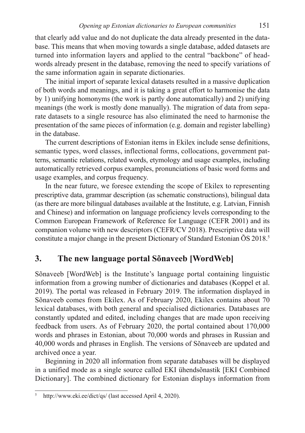that clearly add value and do not duplicate the data already presented in the database. This means that when moving towards a single database, added datasets are turned into information layers and applied to the central "backbone" of headwords already present in the database, removing the need to specify variations of the same information again in separate dictionaries.

The initial import of separate lexical datasets resulted in a massive duplication of both words and meanings, and it is taking a great effort to harmonise the data by 1) unifying homonyms (the work is partly done automatically) and 2) unifying meanings (the work is mostly done manually). The migration of data from separate datasets to a single resource has also eliminated the need to harmonise the presentation of the same pieces of information (e.g. domain and register labelling) in the database.

The current descriptions of Estonian items in Ekilex include sense definitions, semantic types, word classes, inflectional forms, collocations, government patterns, semantic relations, related words, etymology and usage examples, including automatically retrieved corpus examples, pronunciations of basic word forms and usage examples, and corpus frequency.

In the near future, we foresee extending the scope of Ekilex to representing prescriptive data, grammar description (as schematic constructions), bilingual data (as there are more bilingual databases available at the Institute, e.g. Latvian, Finnish and Chinese) and information on language proficiency levels corresponding to the Common European Framework of Reference for Language (CEFR 2001) and its companion volume with new descriptors (CEFR/CV 2018). Prescriptive data will constitute a major change in the present Dictionary of Standard Estonian  $\tilde{O}S$  2018.<sup>5</sup>

#### **3. The new language portal Sõnaveeb [WordWeb]**

Sõnaveeb [WordWeb] is the Institute's language portal containing linguistic information from a growing number of dictionaries and databases (Koppel et al. 2019). The portal was released in February 2019. The information displayed in Sõnaveeb comes from Ekilex. As of February 2020, Ekilex contains about 70 lexical databases, with both general and specialised dictionaries. Databases are constantly updated and edited, including changes that are made upon receiving feedback from users. As of February 2020, the portal contained about 170,000 words and phrases in Estonian, about 70,000 words and phrases in Russian and 40,000 words and phrases in English. The versions of Sõnaveeb are updated and archived once a year.

Beginning in 2020 all information from separate databases will be displayed in a unified mode as a single source called EKI ühendsõnastik [EKI Combined Dictionary]. The combined dictionary for Estonian displays information from

<sup>5</sup> http://www.eki.ee/dict/qs/ (last accessed April 4, 2020).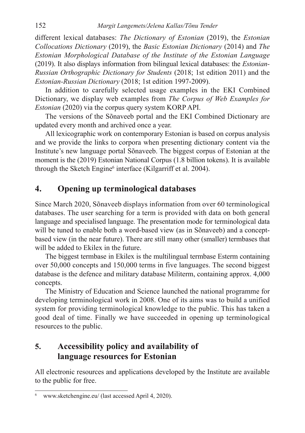different lexical databases: *The Dictionary of Estonian* (2019), the *Estonian Collocations Dictionary* (2019), the *Basic Estonian Dictionary* (2014) and *The Estonian Morphological Database of the Institute of the Estonian Language*  (2019). It also displays information from bilingual lexical databases: the *Estonian-Russian Orthographic Dictionary for Students* (2018; 1st edition 2011) and the *Estonian-Russian Dictionary* (2018; 1st edition 1997-2009).

In addition to carefully selected usage examples in the EKI Combined Dictionary, we display web examples from *The Corpus of Web Examples for Estonian* (2020) via the corpus query system KORP API.

The versions of the Sõnaveeb portal and the EKI Combined Dictionary are updated every month and archived once a year.

All lexicographic work on contemporary Estonian is based on corpus analysis and we provide the links to corpora when presenting dictionary content via the Institute's new language portal Sõnaveeb. The biggest corpus of Estonian at the moment is the (2019) Estonian National Corpus (1.8 billion tokens). It is available through the Sketch Engine<sup>6</sup> interface (Kilgarriff et al. 2004).

#### **4. Opening up terminological databases**

Since March 2020, Sõnaveeb displays information from over 60 terminological databases. The user searching for a term is provided with data on both general language and specialised language. The presentation mode for terminological data will be tuned to enable both a word-based view (as in Sõnaveeb) and a conceptbased view (in the near future). There are still many other (smaller) termbases that will be added to Ekilex in the future.

The biggest termbase in Ekilex is the multilingual termbase Esterm containing over 50,000 concepts and 150,000 terms in five languages. The second biggest database is the defence and military database Militerm, containing approx. 4,000 concepts.

The Ministry of Education and Science launched the national programme for developing terminological work in 2008. One of its aims was to build a unified system for providing terminological knowledge to the public. This has taken a good deal of time. Finally we have succeeded in opening up terminological resources to the public.

## **5. Accessibility policy and availability of language resources for Estonian**

All electronic resources and applications developed by the Institute are available to the public for free.

<sup>6</sup> www.sketchengine.eu/ (last accessed April 4, 2020).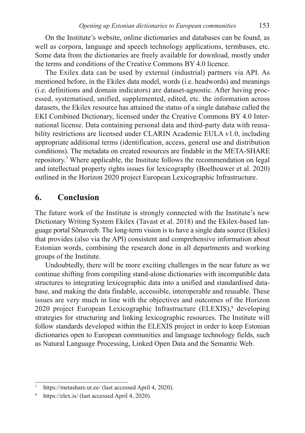On the Institute's website, online dictionaries and databases can be found, as well as corpora, language and speech technology applications, termbases, etc. Some data from the dictionaries are freely available for download, mostly under the terms and conditions of the Creative Commons BY 4.0 licence.

The Exilex data can be used by external (industrial) partners via API. As mentioned before, in the Ekilex data model, words (i.e. headwords) and meanings (i.e. definitions and domain indicators) are dataset-agnostic. After having processed, systematised, unified, supplemented, edited, etc. the information across datasets, the Ekilex resource has attained the status of a single database called the EKI Combined Dictionary, licensed under the Creative Commons BY 4.0 International license. Data containing personal data and third-party data with reusability restrictions are licensed under CLARIN Academic EULA v1.0, including appropriate additional terms (identification, access, general use and distribution conditions). The metadata on created resources are findable in the META-SHARE repository.7 Where applicable, the Institute follows the recommendation on legal and intellectual property rights issues for lexicography (Boelhouwer et al. 2020) outlined in the Horizon 2020 project European Lexicographic Infrastructure.

#### **6. Conclusion**

The future work of the Institute is strongly connected with the Institute's new Dictionary Writing System Ekilex (Tavast et al. 2018) and the Ekilex-based language portal Sõnaveeb. The long-term vision is to have a single data source (Ekilex) that provides (also via the API) consistent and comprehensive information about Estonian words, combining the research done in all departments and working groups of the Institute.

Undoubtedly, there will be more exciting challenges in the near future as we continue shifting from compiling stand-alone dictionaries with incompatible data structures to integrating lexicographic data into a unified and standardised database, and making the data findable, accessible, interoperable and reusable. These issues are very much in line with the objectives and outcomes of the Horizon 2020 project European Lexicographic Infrastructure (ELEXIS),<sup>8</sup> developing strategies for structuring and linking lexicographic resources. The Institute will follow standards developed within the ELEXIS project in order to keep Estonian dictionaries open to European communities and language technology fields, such as Natural Language Processing, Linked Open Data and the Semantic Web.

https://metashare.ut.ee/ (last accessed April 4, 2020).

<sup>8</sup> https://elex.is/ (last accessed April 4, 2020).